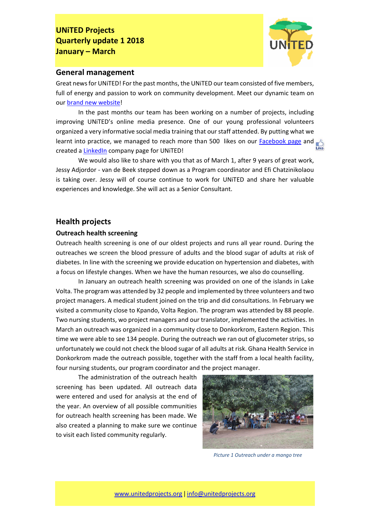

### **General management**

Great news for UNiTED! For the past months, the UNiTED our team consisted of five members, full of energy and passion to work on community development. Meet our dynamic team on our [brand new website!](https://www.unitedprojects.org/our-team)

In the past months our team has been working on a number of projects, including improving UNiTED's online media presence. One of our young professional volunteers organized a very informative social media training that our staff attended. By putting what we learnt into practice, we managed to reach more than 500 likes on our **Facebook page** and  $\frac{1}{2}$ created a [LinkedIn](https://www.linkedin.com/company/3346228/) company page for UNiTED!

We would also like to share with you that as of March 1, after 9 years of great work, Jessy Adjordor - van de Beek stepped down as a Program coordinator and Efi Chatzinikolaou is taking over. Jessy will of course continue to work for UNiTED and share her valuable experiences and knowledge. She will act as a Senior Consultant.

## **Health projects**

#### **Outreach health screening**

Outreach health screening is one of our oldest projects and runs all year round. During the outreaches we screen the blood pressure of adults and the blood sugar of adults at risk of diabetes. In line with the screening we provide education on hypertension and diabetes, with a focus on lifestyle changes. When we have the human resources, we also do counselling.

In January an outreach health screening was provided on one of the islands in Lake Volta. The program was attended by 32 people and implemented by three volunteers and two project managers. A medical student joined on the trip and did consultations. In February we visited a community close to Kpando, Volta Region. The program was attended by 88 people. Two nursing students, wo project managers and our translator, implemented the activities. In March an outreach was organized in a community close to Donkorkrom, Eastern Region. This time we were able to see 134 people. During the outreach we ran out of glucometer strips, so unfortunately we could not check the blood sugar of all adults at risk. Ghana Health Service in Donkorkrom made the outreach possible, together with the staff from a local health facility, four nursing students, our program coordinator and the project manager.

The administration of the outreach health screening has been updated. All outreach data were entered and used for analysis at the end of the year. An overview of all possible communities for outreach health screening has been made. We also created a planning to make sure we continue to visit each listed community regularly.



*Picture 1 Outreach under a mango tree*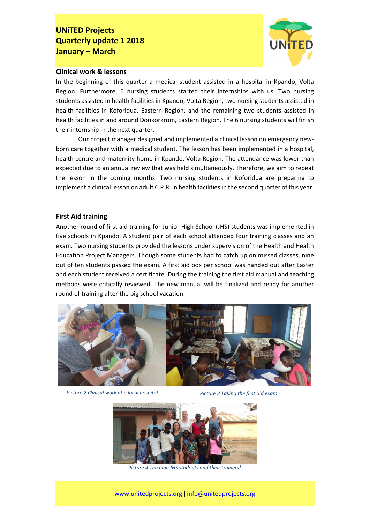

#### **Clinical work & lessons**

In the beginning of this quarter a medical student assisted in a hospital in Kpando, Volta Region. Furthermore, 6 nursing students started their internships with us. Two nursing students assisted in health facilities in Kpando, Volta Region, two nursing students assisted in health facilities in Koforidua, Eastern Region, and the remaining two students assisted in health facilities in and around Donkorkrom, Eastern Region. The 6 nursing students will finish their internship in the next quarter.

Our project manager designed and implemented a clinical lesson on emergency newborn care together with a medical student. The lesson has been implemented in a hospital, health centre and maternity home in Kpando, Volta Region. The attendance was lower than expected due to an annual review that was held simultaneously. Therefore, we aim to repeat the lesson in the coming months. Two nursing students in Koforidua are preparing to implement a clinical lesson on adult C.P.R. in health facilities in the second quarter of this year.

#### **First Aid training**

Another round of first aid training for Junior High School (JHS) students was implemented in five schools in Kpando. A student pair of each school attended four training classes and an exam. Two nursing students provided the lessons under supervision of the Health and Health Education Project Managers. Though some students had to catch up on missed classes, nine out of ten students passed the exam. A first aid box per school was handed out after Easter and each student received a certificate. During the training the first aid manual and teaching methods were critically reviewed. The new manual will be finalized and ready for another round of training after the big school vacation.



*Picture 2 Clinical work at a local hospital Picture 3 Taking the first aid exam*



*Picture 4 The nine JHS students and their trainers!*

#### [www.unitedprojects.org](http://www.unitedprojects.org/) ǀ [info@unitedprojects.org](mailto:info@unitedprojects.org)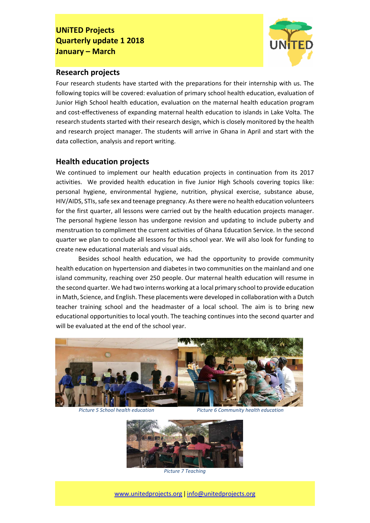

### **Research projects**

Four research students have started with the preparations for their internship with us. The following topics will be covered: evaluation of primary school health education, evaluation of Junior High School health education, evaluation on the maternal health education program and cost-effectiveness of expanding maternal health education to islands in Lake Volta. The research students started with their research design, which is closely monitored by the health and research project manager. The students will arrive in Ghana in April and start with the data collection, analysis and report writing.

# **Health education projects**

We continued to implement our health education projects in continuation from its 2017 activities. We provided health education in five Junior High Schools covering topics like: personal hygiene, environmental hygiene, nutrition, physical exercise, substance abuse, HIV/AIDS, STIs, safe sex and teenage pregnancy. As there were no health education volunteers for the first quarter, all lessons were carried out by the health education projects manager. The personal hygiene lesson has undergone revision and updating to include puberty and menstruation to compliment the current activities of Ghana Education Service. In the second quarter we plan to conclude all lessons for this school year. We will also look for funding to create new educational materials and visual aids.

Besides school health education, we had the opportunity to provide community health education on hypertension and diabetes in two communities on the mainland and one island community, reaching over 250 people. Our maternal health education will resume in the second quarter. We had two interns working at a local primary school to provide education in Math, Science, and English. These placements were developed in collaboration with a Dutch teacher training school and the headmaster of a local school. The aim is to bring new educational opportunities to local youth. The teaching continues into the second quarter and will be evaluated at the end of the school year.



*Picture 5 School health education Picture 6 Community health education*



*Picture 7 Teaching*

[www.unitedprojects.org](http://www.unitedprojects.org/) ǀ [info@unitedprojects.org](mailto:info@unitedprojects.org)